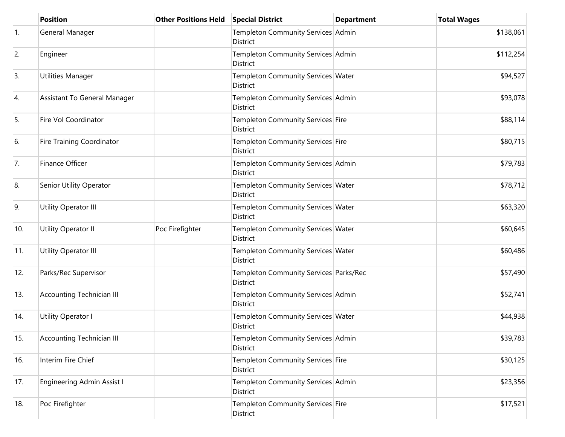|     | <b>Position</b>                   | <b>Other Positions Held</b> | <b>Special District</b>                              | <b>Department</b> | <b>Total Wages</b> |
|-----|-----------------------------------|-----------------------------|------------------------------------------------------|-------------------|--------------------|
| 1.  | General Manager                   |                             | Templeton Community Services Admin<br>District       |                   | \$138,061          |
| 2.  | Engineer                          |                             | Templeton Community Services Admin<br>District       |                   | \$112,254          |
| 3.  | Utilities Manager                 |                             | Templeton Community Services Water<br>District       |                   | \$94,527           |
| 4.  | Assistant To General Manager      |                             | Templeton Community Services Admin<br>District       |                   | \$93,078           |
| 5.  | Fire Vol Coordinator              |                             | Templeton Community Services Fire<br>District        |                   | \$88,114           |
| 6.  | <b>Fire Training Coordinator</b>  |                             | Templeton Community Services Fire<br><b>District</b> |                   | \$80,715           |
| 7.  | Finance Officer                   |                             | Templeton Community Services Admin<br>District       |                   | \$79,783           |
| 8.  | Senior Utility Operator           |                             | Templeton Community Services Water<br>District       |                   | \$78,712           |
| 9.  | Utility Operator III              |                             | Templeton Community Services Water<br>District       |                   | \$63,320           |
| 10. | Utility Operator II               | Poc Firefighter             | Templeton Community Services Water<br>District       |                   | \$60,645           |
| 11. | Utility Operator III              |                             | Templeton Community Services Water<br>District       |                   | \$60,486           |
| 12. | Parks/Rec Supervisor              |                             | Templeton Community Services Parks/Rec<br>District   |                   | \$57,490           |
| 13. | <b>Accounting Technician III</b>  |                             | Templeton Community Services Admin<br>District       |                   | \$52,741           |
| 14. | Utility Operator I                |                             | Templeton Community Services Water<br>District       |                   | \$44,938           |
| 15. | <b>Accounting Technician III</b>  |                             | Templeton Community Services Admin<br>District       |                   | \$39,783           |
| 16. | Interim Fire Chief                |                             | Templeton Community Services Fire<br>District        |                   | \$30,125           |
| 17. | <b>Engineering Admin Assist I</b> |                             | Templeton Community Services Admin<br>District       |                   | \$23,356           |
| 18. | Poc Firefighter                   |                             | Templeton Community Services Fire<br>District        |                   | \$17,521           |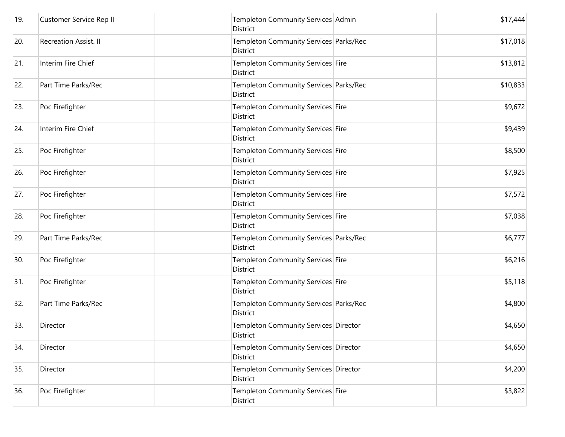| 19. | Customer Service Rep II | Templeton Community Services Admin<br>District            | \$17,444 |
|-----|-------------------------|-----------------------------------------------------------|----------|
| 20. | Recreation Assist. II   | Templeton Community Services Parks/Rec<br><b>District</b> | \$17,018 |
| 21. | Interim Fire Chief      | Templeton Community Services Fire<br>District             | \$13,812 |
| 22. | Part Time Parks/Rec     | Templeton Community Services Parks/Rec<br>District        | \$10,833 |
| 23. | Poc Firefighter         | Templeton Community Services Fire<br>District             | \$9,672  |
| 24. | Interim Fire Chief      | Templeton Community Services Fire<br>District             | \$9,439  |
| 25. | Poc Firefighter         | Templeton Community Services Fire<br><b>District</b>      | \$8,500  |
| 26. | Poc Firefighter         | Templeton Community Services Fire<br>District             | \$7,925  |
| 27. | Poc Firefighter         | Templeton Community Services Fire<br>District             | \$7,572  |
| 28. | Poc Firefighter         | Templeton Community Services Fire<br>District             | \$7,038  |
| 29. | Part Time Parks/Rec     | Templeton Community Services Parks/Rec<br>District        | \$6,777  |
| 30. | Poc Firefighter         | Templeton Community Services Fire<br><b>District</b>      | \$6,216  |
| 31. | Poc Firefighter         | Templeton Community Services Fire<br>District             | \$5,118  |
| 32. | Part Time Parks/Rec     | Templeton Community Services Parks/Rec<br>District        | \$4,800  |
| 33. | Director                | Templeton Community Services Director<br>District         | \$4,650  |
| 34. | Director                | Templeton Community Services Director<br>District         | \$4,650  |
| 35. | Director                | Templeton Community Services Director<br>District         | \$4,200  |
| 36. | Poc Firefighter         | Templeton Community Services Fire<br>District             | \$3,822  |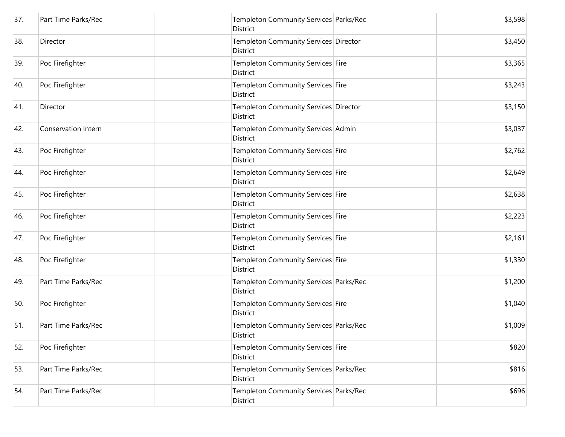| 37. | Part Time Parks/Rec | Templeton Community Services Parks/Rec<br>District        | \$3,598 |
|-----|---------------------|-----------------------------------------------------------|---------|
| 38. | Director            | Templeton Community Services Director<br><b>District</b>  | \$3,450 |
| 39. | Poc Firefighter     | Templeton Community Services Fire<br>District             | \$3,365 |
| 40. | Poc Firefighter     | Templeton Community Services Fire<br>District             | \$3,243 |
| 41. | Director            | Templeton Community Services Director<br>District         | \$3,150 |
| 42. | Conservation Intern | Templeton Community Services Admin<br>District            | \$3,037 |
| 43. | Poc Firefighter     | Templeton Community Services Fire<br><b>District</b>      | \$2,762 |
| 44. | Poc Firefighter     | Templeton Community Services Fire<br><b>District</b>      | \$2,649 |
| 45. | Poc Firefighter     | Templeton Community Services Fire<br><b>District</b>      | \$2,638 |
| 46. | Poc Firefighter     | Templeton Community Services Fire<br>District             | \$2,223 |
| 47. | Poc Firefighter     | Templeton Community Services Fire<br><b>District</b>      | \$2,161 |
| 48. | Poc Firefighter     | Templeton Community Services Fire<br>District             | \$1,330 |
| 49. | Part Time Parks/Rec | Templeton Community Services Parks/Rec<br><b>District</b> | \$1,200 |
| 50. | Poc Firefighter     | Templeton Community Services Fire<br>District             | \$1,040 |
| 51. | Part Time Parks/Rec | Templeton Community Services Parks/Rec<br>District        | \$1,009 |
| 52. | Poc Firefighter     | Templeton Community Services Fire<br>District             | \$820   |
| 53. | Part Time Parks/Rec | Templeton Community Services Parks/Rec<br>District        | \$816   |
| 54. | Part Time Parks/Rec | Templeton Community Services Parks/Rec<br>District        | \$696   |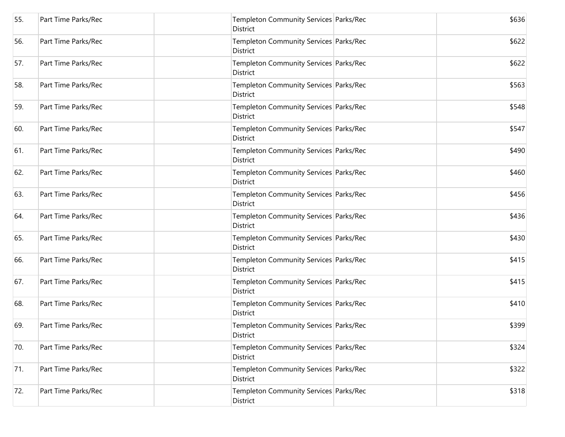| 55. | Part Time Parks/Rec | Templeton Community Services Parks/Rec<br>District        | \$636 |
|-----|---------------------|-----------------------------------------------------------|-------|
| 56. | Part Time Parks/Rec | Templeton Community Services Parks/Rec<br>District        | \$622 |
| 57. | Part Time Parks/Rec | Templeton Community Services Parks/Rec<br>District        | \$622 |
| 58. | Part Time Parks/Rec | Templeton Community Services Parks/Rec<br>District        | \$563 |
| 59. | Part Time Parks/Rec | Templeton Community Services Parks/Rec<br>District        | \$548 |
| 60. | Part Time Parks/Rec | Templeton Community Services Parks/Rec<br>District        | \$547 |
| 61. | Part Time Parks/Rec | Templeton Community Services Parks/Rec<br><b>District</b> | \$490 |
| 62. | Part Time Parks/Rec | Templeton Community Services Parks/Rec<br>District        | \$460 |
| 63. | Part Time Parks/Rec | Templeton Community Services Parks/Rec<br>District        | \$456 |
| 64. | Part Time Parks/Rec | Templeton Community Services Parks/Rec<br>District        | \$436 |
| 65. | Part Time Parks/Rec | Templeton Community Services Parks/Rec<br>District        | \$430 |
| 66. | Part Time Parks/Rec | Templeton Community Services Parks/Rec<br>District        | \$415 |
| 67. | Part Time Parks/Rec | Templeton Community Services Parks/Rec<br>District        | \$415 |
| 68. | Part Time Parks/Rec | Templeton Community Services Parks/Rec<br><b>District</b> | \$410 |
| 69. | Part Time Parks/Rec | Templeton Community Services Parks/Rec<br>District        | \$399 |
| 70. | Part Time Parks/Rec | Templeton Community Services Parks/Rec<br>District        | \$324 |
| 71. | Part Time Parks/Rec | Templeton Community Services Parks/Rec<br>District        | \$322 |
| 72. | Part Time Parks/Rec | Templeton Community Services Parks/Rec<br>District        | \$318 |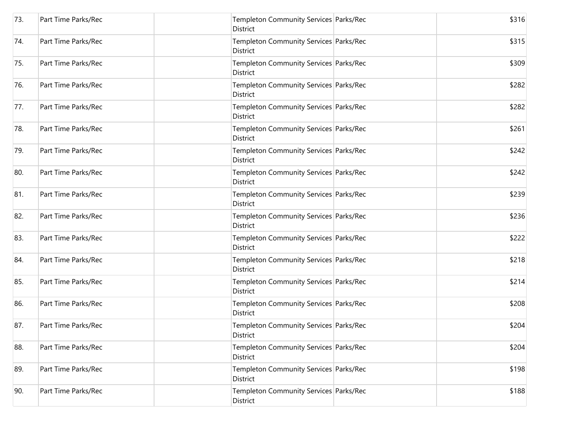| 73. | Part Time Parks/Rec | Templeton Community Services Parks/Rec<br>District        | \$316 |
|-----|---------------------|-----------------------------------------------------------|-------|
| 74. | Part Time Parks/Rec | Templeton Community Services Parks/Rec<br>District        | \$315 |
| 75. | Part Time Parks/Rec | Templeton Community Services Parks/Rec<br>District        | \$309 |
| 76. | Part Time Parks/Rec | Templeton Community Services Parks/Rec<br>District        | \$282 |
| 77. | Part Time Parks/Rec | Templeton Community Services Parks/Rec<br>District        | \$282 |
| 78. | Part Time Parks/Rec | Templeton Community Services Parks/Rec<br>District        | \$261 |
| 79. | Part Time Parks/Rec | Templeton Community Services Parks/Rec<br><b>District</b> | \$242 |
| 80. | Part Time Parks/Rec | Templeton Community Services Parks/Rec<br>District        | \$242 |
| 81. | Part Time Parks/Rec | Templeton Community Services Parks/Rec<br>District        | \$239 |
| 82. | Part Time Parks/Rec | Templeton Community Services Parks/Rec<br>District        | \$236 |
| 83. | Part Time Parks/Rec | Templeton Community Services Parks/Rec<br>District        | \$222 |
| 84. | Part Time Parks/Rec | Templeton Community Services Parks/Rec<br>District        | \$218 |
| 85. | Part Time Parks/Rec | Templeton Community Services Parks/Rec<br>District        | \$214 |
| 86. | Part Time Parks/Rec | Templeton Community Services Parks/Rec<br>District        | \$208 |
| 87. | Part Time Parks/Rec | Templeton Community Services Parks/Rec<br>District        | \$204 |
| 88. | Part Time Parks/Rec | Templeton Community Services Parks/Rec<br>District        | \$204 |
| 89. | Part Time Parks/Rec | Templeton Community Services Parks/Rec<br>District        | \$198 |
| 90. | Part Time Parks/Rec | Templeton Community Services Parks/Rec<br>District        | \$188 |